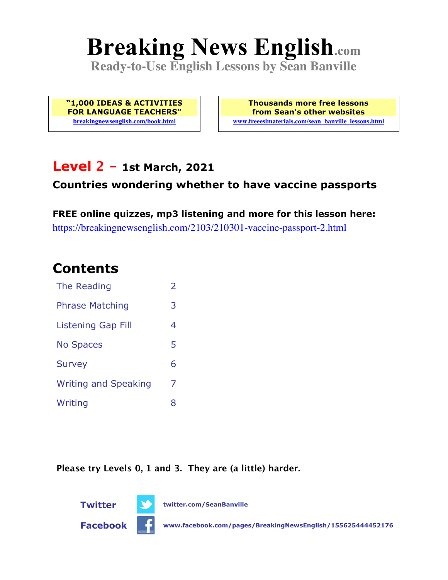# **Breaking News English.com**

**Ready-to-Use English Lessons by Sean Banville**

**"1,000 IDEAS & ACTIVITIES FOR LANGUAGE TEACHERS" breakingnewsenglish.com/book.html**

**Thousands more free lessons from Sean's other websites www.freeeslmaterials.com/sean\_banville\_lessons.html**

### **Level 2 - 1st March, 2021**

#### **Countries wondering whether to have vaccine passports**

**FREE online quizzes, mp3 listening and more for this lesson here:** https://breakingnewsenglish.com/2103/210301-vaccine-passport-2.html

### **Contents**

| The Reading                 | $\overline{2}$ |
|-----------------------------|----------------|
| <b>Phrase Matching</b>      | 3              |
| <b>Listening Gap Fill</b>   | 4              |
| <b>No Spaces</b>            | 5              |
| <b>Survey</b>               | 6              |
| <b>Writing and Speaking</b> | 7              |
| Writing                     | 8              |

**Please try Levels 0, 1 and 3. They are (a little) harder.**

**Twitter twitter.com/SeanBanville Facebook www.facebook.com/pages/BreakingNewsEnglish/155625444452176**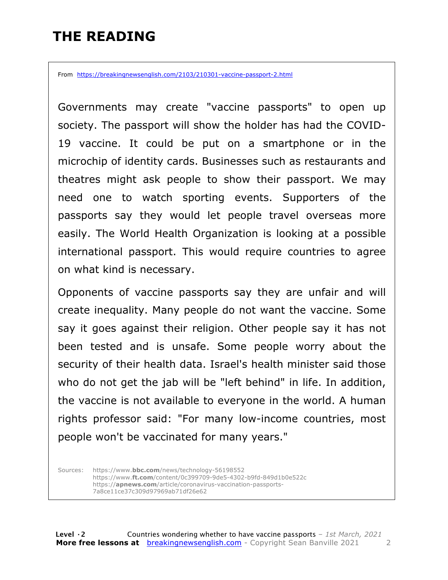# **THE READING**

From https://breakingnewsenglish.com/2103/210301-vaccine-passport-2.html

Governments may create "vaccine passports" to open up society. The passport will show the holder has had the COVID-19 vaccine. It could be put on a smartphone or in the microchip of identity cards. Businesses such as restaurants and theatres might ask people to show their passport. We may need one to watch sporting events. Supporters of the passports say they would let people travel overseas more easily. The World Health Organization is looking at a possible international passport. This would require countries to agree on what kind is necessary.

Opponents of vaccine passports say they are unfair and will create inequality. Many people do not want the vaccine. Some say it goes against their religion. Other people say it has not been tested and is unsafe. Some people worry about the security of their health data. Israel's health minister said those who do not get the jab will be "left behind" in life. In addition, the vaccine is not available to everyone in the world. A human rights professor said: "For many low-income countries, most people won't be vaccinated for many years."

Sources: https://www.**bbc.com**/news/technology-56198552 https://www.**ft.com**/content/0c399709-9de5-4302-b9fd-849d1b0e522c https://**apnews.com**/article/coronavirus-vaccination-passports-7a8ce11ce37c309d97969ab71df26e62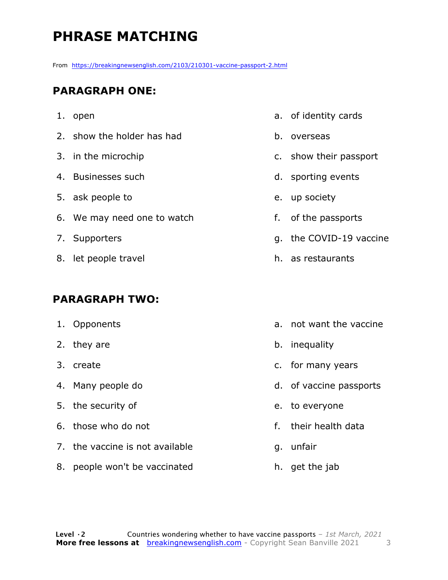# **PHRASE MATCHING**

From https://breakingnewsenglish.com/2103/210301-vaccine-passport-2.html

#### **PARAGRAPH ONE:**

- 1. open
- 2. show the holder has had
- 3. in the microchip
- 4. Businesses such
- 5. ask people to
- 6. We may need one to watch
- 7. Supporters
- 8. let people travel

#### **PARAGRAPH TWO:**

- 1. Opponents
- 2. they are
- 3. create
- 4. Many people do
- 5. the security of
- 6. those who do not
- 7. the vaccine is not available
- 8. people won't be vaccinated
- a. of identity cards
- b. overseas
- c. show their passport
- d. sporting events
- e. up society
- f. of the passports
- g. the COVID-19 vaccine
- h. as restaurants
- a. not want the vaccine
- b. inequality
- c. for many years
- d. of vaccine passports
- e. to everyone
- f. their health data
- g. unfair
- h. get the jab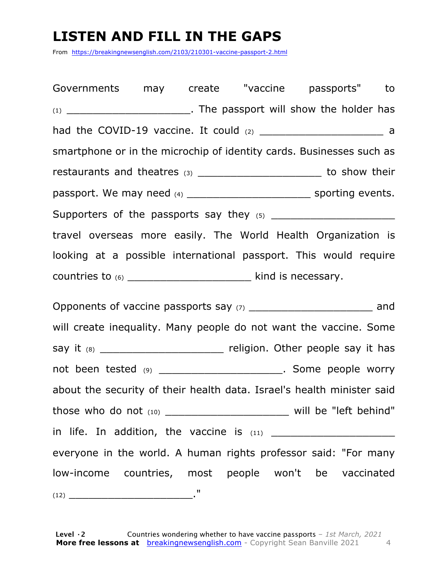### **LISTEN AND FILL IN THE GAPS**

From https://breakingnewsenglish.com/2103/210301-vaccine-passport-2.html

Governments may create "vaccine passports" to (1) \_\_\_\_\_\_\_\_\_\_\_\_\_\_\_\_\_\_\_. The passport will show the holder has had the COVID-19 vaccine. It could  $(2)$  and  $(3)$ smartphone or in the microchip of identity cards. Businesses such as restaurants and theatres (3) \_\_\_\_\_\_\_\_\_\_\_\_\_\_\_\_\_\_\_\_\_\_\_\_\_\_ to show their passport. We may need (4) \_\_\_\_\_\_\_\_\_\_\_\_\_\_\_\_\_\_\_ sporting events. Supporters of the passports say they  $(5)$ travel overseas more easily. The World Health Organization is looking at a possible international passport. This would require countries to  $(6)$  \_\_\_\_\_\_\_\_\_\_\_\_\_\_\_\_\_\_\_\_\_\_\_\_\_\_\_\_\_\_\_\_\_ kind is necessary. Opponents of vaccine passports say (7) \_\_\_\_\_\_\_\_\_\_\_\_\_\_\_\_\_\_\_\_\_\_\_\_\_\_\_\_\_\_\_ and will create inequality. Many people do not want the vaccine. Some say it (8) \_\_\_\_\_\_\_\_\_\_\_\_\_\_\_\_\_\_\_\_\_\_\_\_\_\_ religion. Other people say it has not been tested (9) \_\_\_\_\_\_\_\_\_\_\_\_\_\_\_\_\_\_\_\_\_\_\_\_. Some people worry about the security of their health data. Israel's health minister said those who do not  $(10)$  \_\_\_\_\_\_\_\_\_\_\_\_\_\_\_\_\_\_\_\_\_\_\_\_\_\_\_\_\_\_\_\_ will be "left behind" in life. In addition, the vaccine is (11) \_\_\_\_\_\_\_\_\_\_\_\_\_\_\_\_\_\_\_ everyone in the world. A human rights professor said: "For many low-income countries, most people won't be vaccinated (12) \_\_\_\_\_\_\_\_\_\_\_\_\_\_\_\_\_\_\_."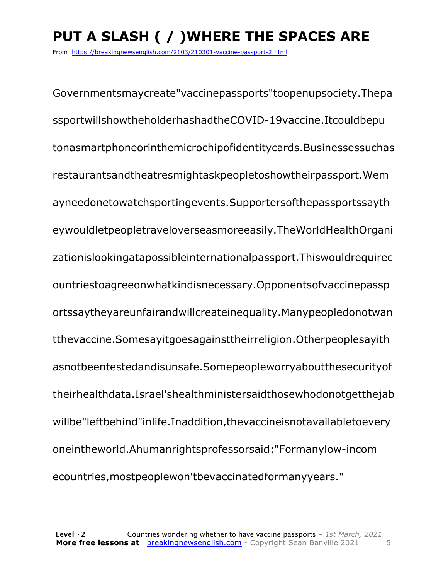# **PUT A SLASH ( / )WHERE THE SPACES ARE**

From https://breakingnewsenglish.com/2103/210301-vaccine-passport-2.html

Governmentsmaycreate"vaccinepassports"toopenupsociety.Thepa ssportwillshowtheholderhashadtheCOVID-19vaccine.Itcouldbepu tonasmartphoneorinthemicrochipofidentitycards.Businessessuchas restaurantsandtheatresmightaskpeopletoshowtheirpassport.Wem ayneedonetowatchsportingevents.Supportersofthepassportssayth eywouldletpeopletraveloverseasmoreeasily.TheWorldHealthOrgani zationislookingatapossibleinternationalpassport.Thiswouldrequirec ountriestoagreeonwhatkindisnecessary.Opponentsofvaccinepassp ortssaytheyareunfairandwillcreateinequality.Manypeopledonotwan tthevaccine.Somesayitgoesagainsttheirreligion.Otherpeoplesayith asnotbeentestedandisunsafe.Somepeopleworryaboutthesecurityof theirhealthdata.Israel'shealthministersaidthosewhodonotgetthejab willbe"leftbehind"inlife.Inaddition,thevaccineisnotavailabletoevery oneintheworld.Ahumanrightsprofessorsaid:"Formanylow-incom ecountries,mostpeoplewon'tbevaccinatedformanyyears."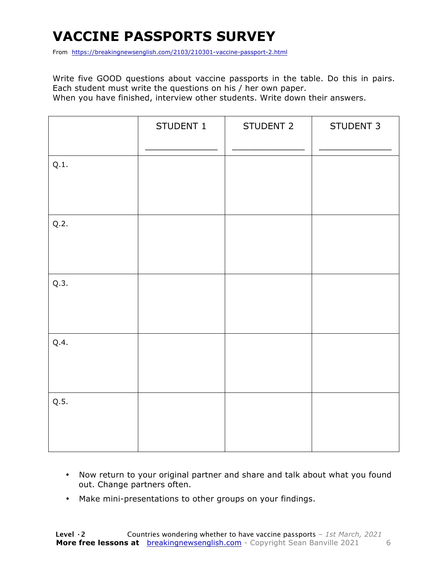# **VACCINE PASSPORTS SURVEY**

From https://breakingnewsenglish.com/2103/210301-vaccine-passport-2.html

Write five GOOD questions about vaccine passports in the table. Do this in pairs. Each student must write the questions on his / her own paper. When you have finished, interview other students. Write down their answers.

|      | STUDENT 1 | STUDENT 2 | STUDENT 3 |
|------|-----------|-----------|-----------|
| Q.1. |           |           |           |
| Q.2. |           |           |           |
| Q.3. |           |           |           |
| Q.4. |           |           |           |
| Q.5. |           |           |           |

- Now return to your original partner and share and talk about what you found out. Change partners often.
- Make mini-presentations to other groups on your findings.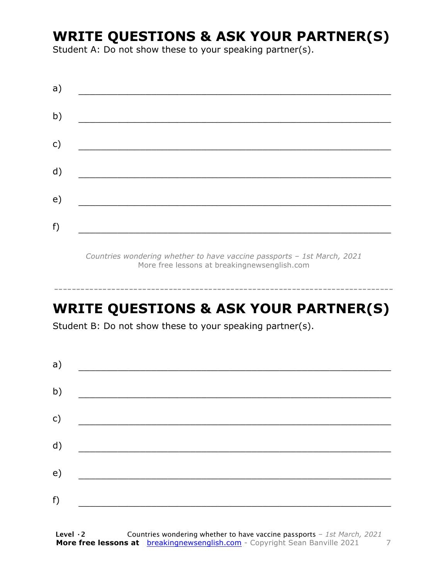### **WRITE QUESTIONS & ASK YOUR PARTNER(S)**

Student A: Do not show these to your speaking partner(s).

| a) |  |  |
|----|--|--|
| b) |  |  |
| c) |  |  |
| d) |  |  |
| e) |  |  |
| f) |  |  |

*Countries wondering whether to have vaccine passports – 1st March, 2021* More free lessons at breakingnewsenglish.com

# **WRITE QUESTIONS & ASK YOUR PARTNER(S)**

-----------------------------------------------------------------------------

Student B: Do not show these to your speaking partner(s).

| a) |  |  |
|----|--|--|
| b) |  |  |
| c) |  |  |
| d) |  |  |
| e) |  |  |
| f) |  |  |
|    |  |  |

**Level ·2** Countries wondering whether to have vaccine passports *– 1st March, 2021* **More free lessons at** breakingnewsenglish.com - Copyright Sean Banville 2021 7